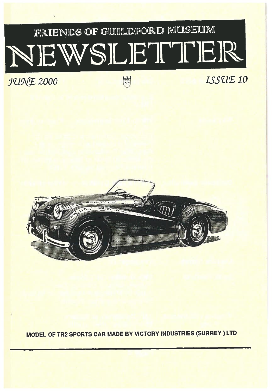# FRIENDS OF GUILDFORD MUSEUM NEWSLETTER

**JUNE 2000** ESSUE 10



MODEL OF TR2 SPORTS CAR MADE BY VICTORY INDUSTRIES (SURREY ) LTD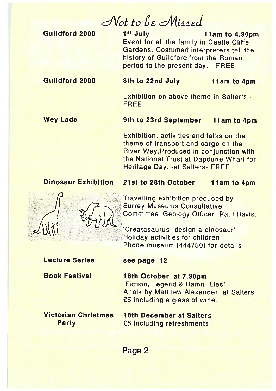Not to be Missed

Guildford 2000

#### **1st July 11am to 4.30pm** Event for all the family in Castle Cliffe Gardens. Costumed interpreters tell the history of Guildford from the Roman period to the presen<sup>t</sup> day. - FREE

#### Guildford 2000

#### 8th to

11am to 4pm

Exhibition on above theme in Salter's -FREE

#### Wey Lade 9th to 23rd September 11am to 4pm

Exhibition, activities and talks on the theme of transport and cargo on the River Wey.Produced in conjunction with the National Trust at Dapdune Wharf for Heritage Day. -at Salters- FREE

#### Dinosaur Exhibition 21st to 28th October 11amım to 4pm



Travelling exhibition produced by **Surrey Museums Consultative** Committee Geology Officer, Paul Davis

 Creatasaurus -design <sup>a</sup> dinosaur Holiday activities for children. Phone museum (444750) for details

#### Lecture Seriess see page 12

Book Festival

 18th October at 7.3Opm 'Fiction, Legend & Damn Lies' A talk by Matthew Alexander at Salters £5 including <sup>a</sup> glass of wine.

Victorian Christmas

s 18th December at Salters Party **E5** including refreshments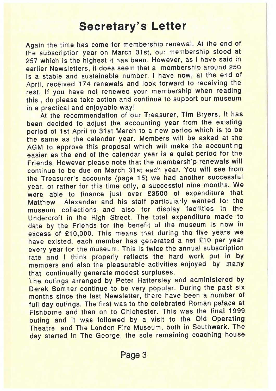### Secretary's Letter

Again the time has come for membership renewal. At the end of the subscription year on March 31st, our membership stood at <sup>257</sup> which is the highest it has been. However, as <sup>I</sup> have said in earlier Newsletters, it does seem that <sup>a</sup> membership around <sup>250</sup> is <sup>a</sup> stable and sustainable number. <sup>I</sup> have now, at the end of April, received <sup>174</sup> renewals and look forward to receiving the rest. If you have not renewed your membership when reading this , do <sup>p</sup>lease take action and continue to suppor<sup>t</sup> our museum in <sup>a</sup> practical and enjoyable way!

At the recommendation of our Treasurer, Tim Bryers, It has been decided to adjust the accounting year from the existing period of 1st April to 31st March to <sup>a</sup> new period which is to be the same as the calendar year. Members will be asked at the AGM to approve this proposa<sup>l</sup> which will make the accounting easier as the end of the calendar year is <sup>a</sup> quiet period for the Friends. However <sup>p</sup>lease note that the membership renewals will continue to be due on March 31st each year. You will see from the Treasurer's accounts (page 15) we had another successful year, or rather for this time only, <sup>a</sup> successful nine months. We were able to finance just over £3500 of expenditure that Matthew Alexander and his staff particularly wanted for the museum collections and also for display facilities in the Undercroft in the High Street. The total expenditure made to date by the Friends for the benefit of the museum is now in excess of £10,000. This means that during the five years we have existed, each member has generated <sup>a</sup> net £10 per year every year for the museum. This is twice the annual subscription rate and I think properly reflects the hard work put in by members and also the <sup>p</sup>leasurable activities enjoyed by many that continually generate modest surpluses.

The outings arranged by Peter Hattersley and administered by Derek Somner continue to be very popular. During the pas<sup>t</sup> six months since the last Newsletter, there have been <sup>a</sup> number of full day outings. The first was to the celebrated Roman palace at Fishborne and then on to Chichester. This was the final 1999 outing and it was followed by <sup>a</sup> visit to the Old Operating Theatre and The London Fire Museum, both in Southwark. The day started In The George, the sole remaining coaching house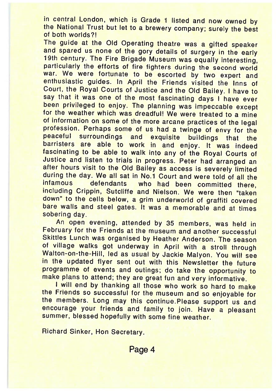in central London, which is Grade 1 listed and now ownedin central London, which is Grade 1 listed and now owned by<br>the National Trust but let to a brewery company; surely the best<br>of both worlds?! f both worlds?

The guide at the Old Operating theatre was a gifted speaker<br>and spared us none of the gory details of surgery in the early and spared us none of the gory details of surgery in the early<br>19th century. The Fire Brigade Museum was equally interesting, particularly the efforts of fire fighters during the second world war. We were fortunate to be escortedwar, we were fortunate to be escorted by two expert and<br>enthusiastic guides. In April the Friends visited the Inns of Court, the Royal Courts of Justice and the Old Bailey. I have to say that it was one of the most fascinating days I have ever been privileged to enjoy. The planning was impeccable except r the weather which was dreadful! We were treated to a mine of information on some of the more arcane practices of the lega profession. Perhaps some of us had a twinge of envy for the<br>peaceful surroundings and exquisite buildings that the are able to work in and enjoy. It was indeed fascinating to be able to walk into any of the Royal Courts of e and listen to trials in pustice and listen to trials in progress. Peter had arranged an<br>after hours visit to the Old Bailey as access is severely limited after hours visit to the Old Bailey as access is severely limited<br>during the day. We all sat in No.1 Court and were told of all the s who had been committed there infamous defendantsifitamous - gefendants - who had been committed there,<br>including Crippin, Sutcliffe and Nielson. We were then "taken down" to the cells below, a grim underworld of graffiti covered<br>bare walls and steel gates. It was a memorable and at times e walls and steel gates. It was a memorable and at times sobering day.

An open evening, attended by <sup>35</sup> members, was held in February for the Friends at the museum and another successful Skittles Lunch was organised by Heather Anderson. The season of village walks got underway in April with a stroll through Walton-on-the-Hill, led as usual by Jackie Malyon. You will see in the updated flyer sent out with this Newsletter the futureprogramme of events and outings; do take the opportunity to<br>make plans to attend: they are great fun and very informative make plans to attend; they are great fun and very informative.

I will end by thanking all those who work so hard to makethe Friends so successful for the museum and so enjoyable fo the Friends so successful for the museum and so enjoyable for<br>the members. Long may this continue.Please support us and encourage your friends and family to join. Have <sup>a</sup> <sup>p</sup>leasant summer, blessed hopefully with some fine weather.

Richard Sinker, Hon Secretary.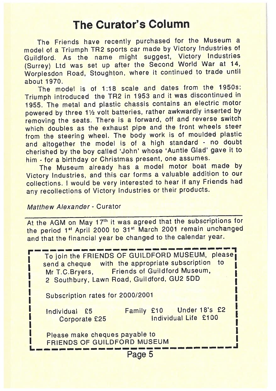### The Curator's Column

The Friends have recently purchased for the Museum <sup>a</sup> model of <sup>a</sup> Triumph TR2 sports car made by Victory Industries of Guildford. As the name might suggest, Victory Industries (Surrey) Ltd was set up after the Second World War at 14, Worplesdon Road, Stoughton, where it continued to trade until about 1970.

The model is of 1:18 scale and dates from the 1950s: Triumph introduced the TR2 in <sup>1953</sup> and it was discontinued in 1955. The metal and <sup>p</sup>lastic chassis contains an electric motor powered by three 11/2 volt batteries, rather awkwardly inserted by removing the seats. There is <sup>a</sup> forward, off and reverse switch which doubles as the exhaust pipe and the front wheels steer from the steering wheel. The body work is of moulded <sup>p</sup>lastic and altogether the model is of <sup>a</sup> high standard - no doubt cherished by the boy called 'John' whose 'Auntie Glad' gave it to him - for <sup>a</sup> birthday or Christmas present, one assumes.

The Museum already has <sup>a</sup> model motor boat made by Victory Industries, and this car forms <sup>a</sup> valuable addition to our collections. <sup>I</sup> would be very interested to hear if any Friends had any recollections of Victory Industries or their products.

#### Matthew Alexander - Curator

At the AGM on May 17<sup>th</sup> it was agreed that the subscriptions for the period 1<sup>st</sup> April 2000 to 31<sup>st</sup> March 2001 remain unchanged and that the financial year be changed to the calendar year.

I To join the FRIENDS OF GUILDFORD MUSEUM, please send a cheque with the appropriate subscription to Mr T.C.Bryers, Friends of Guildford Museum, 2 Southbury, Lawn Road, Guildford, GU2 5DD Subscription rates for 2000/2001 Individual £5 Family £10 Under 18's £2 Corporate £25 Individual Life £100 Please make cheques payable to FRIENDS OF GUILDFORD MUSEUM \_I L. — $\sim$ —— $\mathcal{L}=\mathcal{L}^{\text{max}}$  $\mathcal{L} = \{ \mathcal{L} \in \mathcal{L} \mid \mathcal{L} \in \mathcal{L} \}$  , where  $\mathcal{L} = \{ \mathcal{L} \mid \mathcal{L} \in \mathcal{L} \}$  $\mathcal{L}=\mathcal{L}^{\text{max}}$  $\mathcal{L} = \{ \mathcal{L} \in \mathcal{L} \mid \mathcal{L} \in \mathcal{L} \}$  , where  $\mathcal{L} = \{ \mathcal{L} \mid \mathcal{L} \in \mathcal{L} \}$  $\mathcal{L} = \{ \mathcal{L} \in \mathcal{L} \mid \mathcal{L} \in \mathcal{L} \}$  , where  $\mathcal{L} = \{ \mathcal{L} \mid \mathcal{L} \in \mathcal{L} \}$ —Page 5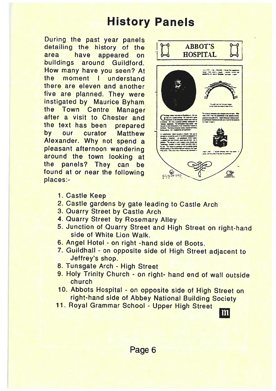## History Panels

During the past year panels detailing the history of the area have appeared on buildings around Guildford. How many have you seen? A the moment I understand there are eleven and another five are planned. They were instigated by Maurice Byham the Town Centre Manage after a visit to Chester and the text has been prepared by our curator Matthew Alexander. Why not spend a <sup>p</sup>leasant afternoon wandering around the town looking a the panels? They can be found at or near the following places:



- 1. Castle Keep
- 2. Castle gardens by gate leading to Castle Arch
- **3. Quarry Street by Castle Arch**
- 4. Quarry Street by Rosemary Alley
- 5. Junction of Quarry Street and High Street on right-hand side of White Lion Walk
- 6. Angel Hotel on right -hand side of Boots.
- 7. Guildhall on opposite side of High Street adjacent to Jeffrey's shop.
- 8. Tunsgate Arch High Stree
- 9. Holy Trinity Church on right- hand end of wall outside church
- 10. Abbots Hospital on opposite side of High Street or right-hand side of Abbey National Building Society
- 11. Royal Grammar School Upper High Stree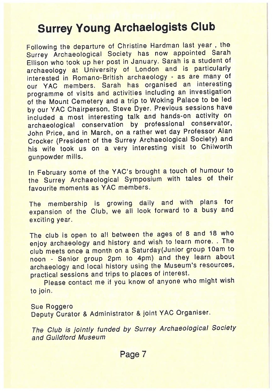# Surrey Young Archaelogists Club

Following the departure of Christine Hardman last year , the Surrey Archaeological Society has now appointed Sarah Ellison who took up her pos<sup>t</sup> in January. Sarah is <sup>a</sup> student of archaeology at University of London and is particularly interested in Romano-British archaeology - as are many of our YAC members. Sarah has organised an interesting programme of visits and activities including an investigation of the Mount Cemetery and <sup>a</sup> trip to Woking Palace to be led by our YAC Chairperson, Steve Dyer. Previous sessions have included <sup>a</sup> most interesting talk and hands-on activity on archaeological conservation by professional conservator, John Price, and in March, on <sup>a</sup> rather wet day Professor Alan Crocker (President of the Surrey Archaeological Society) and his wife took us on <sup>a</sup> very interesting visit to Chilworth gunpowder mills.

In February some of the YAC's brought <sup>a</sup> touch of humour to the Surrey Archaeological Symposium with tales of their favourite moments as YAC members.

The membership is growing daily and with <sup>p</sup>lans for expansion of the Club, we all look forward to <sup>a</sup> busy and exciting year.

The club is open to all between the ages of <sup>8</sup> and <sup>18</sup> who enjoy archaeology and history and wish to learn more. . The club meets once a month on a Saturday(Junior group 10am to noon - Senior group 2pm to 4pm) and they learn about archaeology and local history using the Museum's resources, practical sessions and trips to <sup>p</sup>laces of interest.

Please contact me if you know of anyone who might wish to join.

#### Sue Roggero Deputy Curator & Administrator & joint YAC Organiser.

The Club is jointly funded by Surrey Archaeological Society and Guildford Museum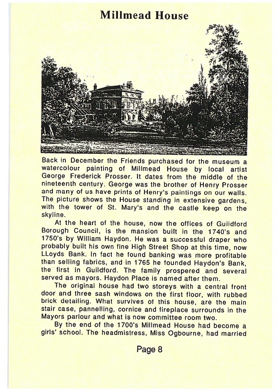#### Milimead House



Back in December the Friends purchased for the museum <sup>a</sup> watercolour painting of Millmead House by local artist George Frederick Prosser. It dates from the middle of the nineteenth century. George was the brother of Henry Prosser and many of us have prints of Henry's paintings on our walls. The picture shows the House standing in extensive gardens with the tower of St. Mary's and the castle keep on the skyline.

At the heart of the house, now the offices of Guildford Borough Council, is the mansion built in the 1740's and 1750's by William Haydon. He was a successful draper who probably built his own fine High Street Shop at this time, now LLoyds Bank. In fact he found banking was more profitable than selling fabrics, and in <sup>1765</sup> he founded Haydon's Bank, the first in Guildford. The family prospered and severa served as mayors. Haydon Place is named after them.

The original house had two storeys with a central front door and three sash windows on the first floor, with rubbed brick detailing. What survives of this house, are the mair stair case, pannelling, cornice and fireplace surrounds in the Mayors parlour and what is now committee room two.

By the end of the 1700's Millmead House had become a girls' school. The headmistress, Miss Ogbourne, had married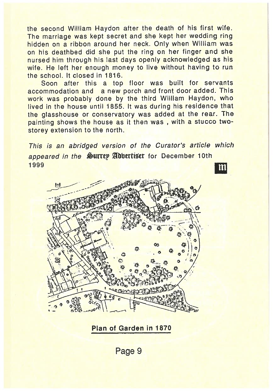the second William Haydon after the death of his first wife. The marriage was kept secret and she kept her wedding ring hidden on <sup>a</sup> ribbon around her neck. Only when William was on his deathbed did she pu<sup>t</sup> the ring on her finger and she nursed him through his last days openly acknowledged as his wife. He left her enough money to live without having to run the school. It closed in 1816.

Soon after this <sup>a</sup> top floor was built for servants accommodation and <sup>a</sup> new porc<sup>h</sup> and front door added. This work was probably done by the third William Haydon, who lived in the house until 1855. It was during his residence that the <sup>g</sup>lasshouse or conservatory was added at the rear. The painting shows the house as it then was, with a stucco twostorey extension to the north.

This is an abridged version of the Curator's article which appeared in the Surrey Adbertiser for December 10th 1999  $m$ 



Plan of Garden in 1870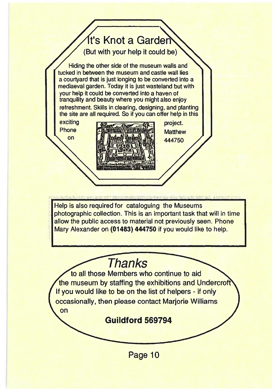# fr's Knot a Garder

(But with your help it could be)

Hiding the other side of the museum walls and tucked in between the museum and castle wall lies a courtyard that is just longing to be converted into <sup>a</sup> mediaeval garden. Today it is just wasteland but with your help it could be converted into <sup>a</sup> haven of tranquility and beauty where you might also enjoy refreshment. Skills in clearing, designing, and planting the site are all required. So if you can offer help in this

Phoneon



**Matthew** 444750

Help is also required for cataloguing the Museums photographic collection. This is an important task that will in time allow the public access to material not previously seen. Phone Mary Alexander on (01483) 444750 if you would like to help.

# **Thanks**

to all those Members who continue to aid the museum by staffing the exhibitions and Undercroft If you would like to be on the list of helpers - if only occasionally, then please contact Marjorie Williams on

Guildford 569794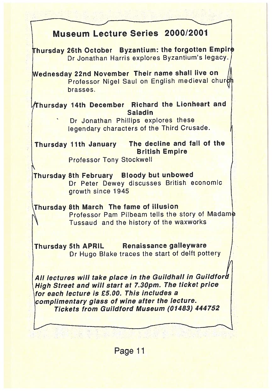| Museum Lecture Series 2000/2001                                                                                                                                                                                                                                      |
|----------------------------------------------------------------------------------------------------------------------------------------------------------------------------------------------------------------------------------------------------------------------|
| Thursday 26th October Byzantium: the forgotten Empire<br>Dr Jonathan Harris explores Byzantium's legacy.                                                                                                                                                             |
| Wednesday 22nd November Their name shall live on<br>Professor Nigel Saul on English medieval churd<br>brasses.                                                                                                                                                       |
| Thursday 14th December Richard the Lionheart and<br><b>Saladin</b><br>Dr Jonathan Phillips explores these<br>legendary characters of the Third Crusade.                                                                                                              |
| Thursday 11th January The decline and fall of the<br><b>British Empire</b><br><b>Professor Tony Stockwell</b>                                                                                                                                                        |
| Thursday 8th February Bloody but unbowed<br>Dr Peter Dewey discusses British economic<br>growth since 1945                                                                                                                                                           |
| Thursday 8th March The fame of illusion<br>Professor Pam Pilbeam tells the story of Madame<br>Tussaud and the history of the waxworks                                                                                                                                |
| Thursday 5th APRIL Renaissance galleyware<br>Dr Hugo Blake traces the start of delft pottery                                                                                                                                                                         |
| All lectures will take place in the Guildhall in Guildford<br>High Street and will start at 7.30pm. The ticket price<br>for each lecture is £5.00. This includes a<br>complimentary glass of wine after the lecture.<br>Tickets from Guildford Museum (01483) 444752 |
|                                                                                                                                                                                                                                                                      |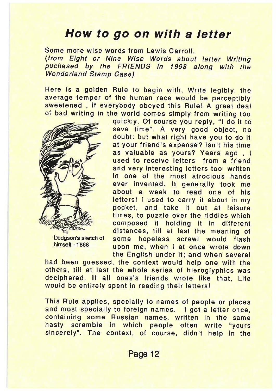### How to go on with <sup>a</sup> letter

Some more wise words from Lewis Carroll. (from Eight or Nine Wise Words about letter Writing puchased by the FRIENDS in 1998 along with the Wonderland Stamp Case)

Here is a golden Rule to begin with, Write legibly. the average temper of the human race would be perceptibly sweetened , if everybody obeyed this Rule! <sup>A</sup> great deal of bad writing in the world comes simply from writing too



Dodgson's sketch of himself - 1868

quickly. Of course you reply, "I do it to save time". A very good object, no doubt: but what right have you to do it at your friend's expense? Isn't his time as valuable as yours? Years ago , I used to receive letters from <sup>a</sup> friendand very interesting letters too written in one of the most atrocious handsever invented. It generally took me about a week to read one of hisletters! I used to carry it about in my pocket, and take it out at leisure times, to puzzle over the riddles which composed it holding it in different distances, till at last the meaning of some hopeless scrawl would flash upon me, when I at once wrote down the English under it; and when several

had been guessed, the context would help one with the others, till at last the whole series of hieroglyphics was deciphered. If all ones's friends wrote like that, Life would be entirely spent in reading their letters!

This Rule applies, specially to names of people or <sup>p</sup>laces and most specially to foreign names. <sup>I</sup> go<sup>t</sup> <sup>a</sup> letter once, containing some Russian names, written in the same hasty scramble in which people often write "yours sincerely". The context, of course, didn't help in the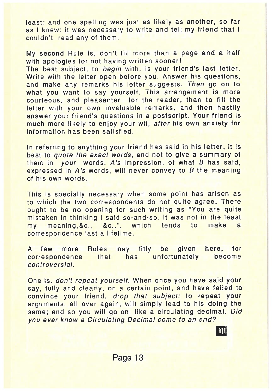least: and one spelling was just as likely as another, so far as <sup>I</sup> knew: it was necessary to write and tell my friend that <sup>I</sup> couldn't read any of them.

My second Rule is, don't fill more than <sup>a</sup> page and <sup>a</sup> half with apologies for not having written sooner! The best subject, to begin with, is your friend's last letter. Write with the letter open before you. Answer his questions, and make any remarks his letter suggests. Then go on to what you want to say yourself. This arrangement is more courteous, and <sup>p</sup>leasanter for the reader, than to fill the letter with your own invaluable remarks, and then hastily answer your friend's questions in <sup>a</sup> postscript. Your friend is much more likely to enjoy your wit, after his own anxiety for information has been satisfied.

In referring to anything your friend has said in his letter, it is best to quote the exact words, and not to <sup>g</sup>ive <sup>a</sup> summary of them in your words. A's impression, of what <sup>B</sup> has said, expressed in A's words, will never convey to <sup>B</sup> the meaning of his own words.

This is specially necessary when some point has arisen as to which the two correspondents do not quite agree. There ought to be no opening for such writing as "You are quite mistaken in thinking <sup>I</sup> said so-and-so. It was not in the least my meaning,&c., which tends to make <sup>a</sup> correspondence last <sup>a</sup> lifetime.

A few more Rules may fitly be given here, for<br>correspondence that has unfortunately become correspondence that has unfortunately become controversial.

One is, don't repea<sup>t</sup> yourself. When once you have said your say, fully and clearly, on a certain point, and have failed to convince your friend, drop that subject: to repea<sup>t</sup> your arguments, all over again, will simply lead to his doing the same; and so you will go on, like a circulating decimal. Did you ever know <sup>a</sup> Circulating Decimal come to an end?

L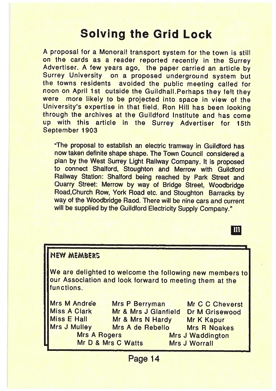# Solving the Grid Lock

A proposal for <sup>a</sup> Monorail transport system for the town is still on the cards as <sup>a</sup> reader reported recently in the Surrey Advertiser. A few years ago, the paper carried an article by Surrey University on <sup>a</sup> proposed underground system but the towns residents avoided the public meeting called for noon on April 1st outside the Guildhall.Perhaps they felt they were more likely to be projected into space in view of the University's expertise in that field. Ron Hill has been looking through the archives at the Guildford Institute and has come up with this article in the Surrey Advertiser for 15th September 1903

"The proposal to establish an electric tramway in Guildford has now taken definite shape shape. The Town Council considered <sup>a</sup> <sup>p</sup>lan by the West Surrey Light Railway Company. It is proposed to connect Shalford, Stoughton and Merrow with Guildford Railway Station: Shalford being reached by Park Street and Quarry Street: Merrow by way of Bridge Street, Woodbridge Road,Church Row, York Road etc. and Stoughton Barracks by way of the Woodbridge Raod. There will be nine cars and current will be supplied by the Guildford Electricity Supply Company.'

m

| <b>NEW MEMBERS</b>                                                                                                                |                                        |                                                 |  |  |  |  |  |
|-----------------------------------------------------------------------------------------------------------------------------------|----------------------------------------|-------------------------------------------------|--|--|--|--|--|
| We are delighted to welcome the following new members to<br>our Association and look forward to meeting them at the<br>functions. |                                        |                                                 |  |  |  |  |  |
| Mrs M Andree<br><b>Miss A Clark</b>                                                                                               | Mrs P Berryman<br>Mr & Mrs J Glanfield | Mr C C Cheverst<br><b>Dr M Grisewood</b>        |  |  |  |  |  |
| Miss E Hall<br><b>Mrs J Mulley</b>                                                                                                | Mr & Mrs N Hardy<br>Mrs A de Rebello   | Mr K Kapur<br><b>Mrs R Noakes</b>               |  |  |  |  |  |
| <b>Mrs A Rogers</b>                                                                                                               | Mr D & Mrs C Watts                     | <b>Mrs J Waddington</b><br><b>Mrs J Worrall</b> |  |  |  |  |  |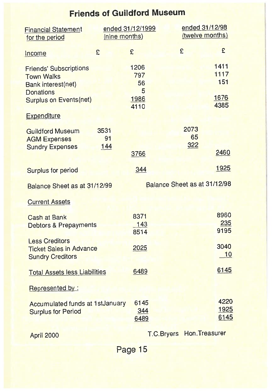## Friends of Guildtord Museum

| <b>Financial Statement</b><br>for the period                                                                                                        | (nine months) | ended 31/12/1999                       |                   | ended 31/12/98<br>(twelve months) |                                     |
|-----------------------------------------------------------------------------------------------------------------------------------------------------|---------------|----------------------------------------|-------------------|-----------------------------------|-------------------------------------|
| Income                                                                                                                                              | £             | £                                      |                   | £                                 | £                                   |
| <b>Friends' Subscriptions</b><br><b>Town Walks</b><br><b>Bank interest(net)</b><br><b>Donations</b><br>Surplus on Events(net)<br><b>Expenditure</b> |               | 1206<br>797<br>56<br>5<br>1986<br>4110 |                   |                                   | 1411<br>1117<br>151<br>1676<br>4385 |
|                                                                                                                                                     | 3531          |                                        |                   | 2073                              |                                     |
| <b>Guildford Museum</b><br><b>AGM Expenses</b><br><b>Sundry Expenses</b>                                                                            | 91<br>144     | 3766                                   |                   | 65<br>322                         | 2460                                |
| <b>Surplus for period</b>                                                                                                                           |               | 344                                    |                   |                                   | 1925                                |
| Balance Sheet as at 31/12/99                                                                                                                        |               |                                        |                   | Balance Sheet as at 31/12/98      |                                     |
| <b>Current Assets</b>                                                                                                                               |               |                                        |                   |                                   |                                     |
| <b>Cash at Bank</b><br><b>Debtors &amp; Prepayments</b>                                                                                             |               | 8371<br>143<br>8514                    |                   |                                   | 8960<br>235<br>9195                 |
| <b>Less Creditors</b><br><b>Ticket Sales in Advance</b><br><b>Sundry Creditors</b>                                                                  |               | 2025                                   |                   |                                   | 3040<br>10                          |
| <b>Total Assets less Liabilities</b>                                                                                                                |               | 6489                                   |                   |                                   | 6145                                |
| Represented by:                                                                                                                                     |               |                                        |                   |                                   |                                     |
| Accumulated funds at 1stJanuary<br><b>Surplus for Period</b>                                                                                        |               | 6145<br>344<br>6489                    |                   |                                   | 4220<br>1925<br>6145                |
| April 2000                                                                                                                                          |               |                                        | <b>T.C.Bryers</b> | Hon. Treasurer                    |                                     |